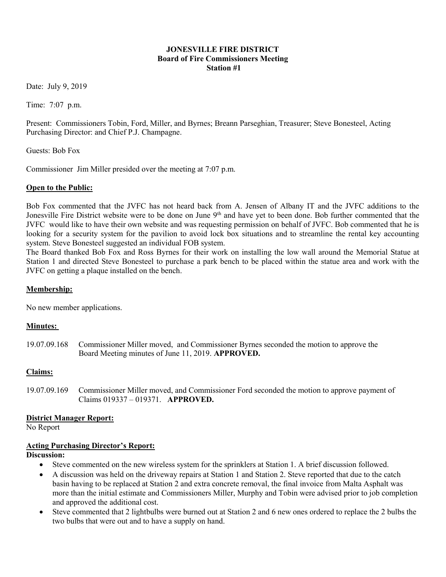### JONESVILLE FIRE DISTRICT Board of Fire Commissioners Meeting Station #1

Date: July 9, 2019

Time: 7:07 p.m.

Present: Commissioners Tobin, Ford, Miller, and Byrnes; Breann Parseghian, Treasurer; Steve Bonesteel, Acting Purchasing Director: and Chief P.J. Champagne.

Guests: Bob Fox

Commissioner Jim Miller presided over the meeting at 7:07 p.m.

#### Open to the Public:

Bob Fox commented that the JVFC has not heard back from A. Jensen of Albany IT and the JVFC additions to the Jonesville Fire District website were to be done on June 9<sup>th</sup> and have yet to been done. Bob further commented that the JVFC would like to have their own website and was requesting permission on behalf of JVFC. Bob commented that he is looking for a security system for the pavilion to avoid lock box situations and to streamline the rental key accounting system. Steve Bonesteel suggested an individual FOB system.

The Board thanked Bob Fox and Ross Byrnes for their work on installing the low wall around the Memorial Statue at Station 1 and directed Steve Bonesteel to purchase a park bench to be placed within the statue area and work with the JVFC on getting a plaque installed on the bench.

#### Membership:

No new member applications.

### Minutes:

19.07.09.168 Commissioner Miller moved, and Commissioner Byrnes seconded the motion to approve the Board Meeting minutes of June 11, 2019. APPROVED.

### Claims:

19.07.09.169 Commissioner Miller moved, and Commissioner Ford seconded the motion to approve payment of Claims 019337 – 019371. APPROVED.

### District Manager Report:

No Report

### Acting Purchasing Director's Report:

Discussion:

- Steve commented on the new wireless system for the sprinklers at Station 1. A brief discussion followed.
- A discussion was held on the driveway repairs at Station 1 and Station 2. Steve reported that due to the catch basin having to be replaced at Station 2 and extra concrete removal, the final invoice from Malta Asphalt was more than the initial estimate and Commissioners Miller, Murphy and Tobin were advised prior to job completion and approved the additional cost.
- Steve commented that 2 lightbulbs were burned out at Station 2 and 6 new ones ordered to replace the 2 bulbs the two bulbs that were out and to have a supply on hand.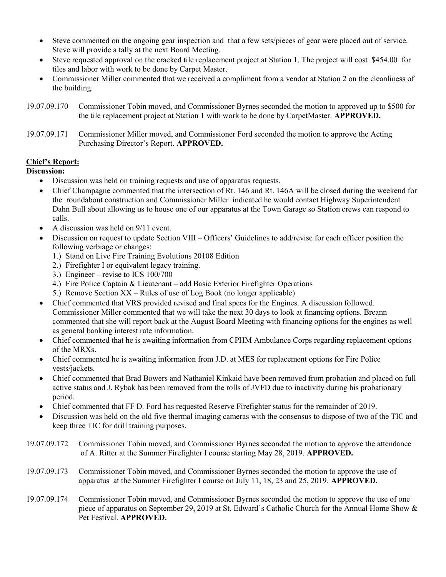- Steve commented on the ongoing gear inspection and that a few sets/pieces of gear were placed out of service. Steve will provide a tally at the next Board Meeting.
- Steve requested approval on the cracked tile replacement project at Station 1. The project will cost \$454.00 for tiles and labor with work to be done by Carpet Master.
- Commissioner Miller commented that we received a compliment from a vendor at Station 2 on the cleanliness of the building.
- 19.07.09.170 Commissioner Tobin moved, and Commissioner Byrnes seconded the motion to approved up to \$500 for the tile replacement project at Station 1 with work to be done by CarpetMaster. APPROVED.
- 19.07.09.171 Commissioner Miller moved, and Commissioner Ford seconded the motion to approve the Acting Purchasing Director's Report. APPROVED.

# Chief's Report:

### Discussion:

- Discussion was held on training requests and use of apparatus requests.
- Chief Champagne commented that the intersection of Rt. 146 and Rt. 146A will be closed during the weekend for the roundabout construction and Commissioner Miller indicated he would contact Highway Superintendent Dahn Bull about allowing us to house one of our apparatus at the Town Garage so Station crews can respond to calls.
- A discussion was held on  $9/11$  event.
- Discussion on request to update Section VIII Officers' Guidelines to add/revise for each officer position the following verbiage or changes:
	- 1.) Stand on Live Fire Training Evolutions 20108 Edition
	- 2.) Firefighter I or equivalent legacy training.
	- 3.) Engineer revise to ICS 100/700
	- 4.) Fire Police Captain & Lieutenant add Basic Exterior Firefighter Operations
	- 5.) Remove Section XX Rules of use of Log Book (no longer applicable)
- Chief commented that VRS provided revised and final specs for the Engines. A discussion followed. Commissioner Miller commented that we will take the next 30 days to look at financing options. Breann commented that she will report back at the August Board Meeting with financing options for the engines as well as general banking interest rate information.
- Chief commented that he is awaiting information from CPHM Ambulance Corps regarding replacement options of the MRXs.
- Chief commented he is awaiting information from J.D. at MES for replacement options for Fire Police vests/jackets.
- Chief commented that Brad Bowers and Nathaniel Kinkaid have been removed from probation and placed on full active status and J. Rybak has been removed from the rolls of JVFD due to inactivity during his probationary period.
- Chief commented that FF D. Ford has requested Reserve Firefighter status for the remainder of 2019.
- Discussion was held on the old five thermal imaging cameras with the consensus to dispose of two of the TIC and keep three TIC for drill training purposes.
- 19.07.09.172 Commissioner Tobin moved, and Commissioner Byrnes seconded the motion to approve the attendance of A. Ritter at the Summer Firefighter I course starting May 28, 2019. APPROVED.
- 19.07.09.173 Commissioner Tobin moved, and Commissioner Byrnes seconded the motion to approve the use of apparatus at the Summer Firefighter I course on July 11, 18, 23 and 25, 2019. APPROVED.
- 19.07.09.174 Commissioner Tobin moved, and Commissioner Byrnes seconded the motion to approve the use of one piece of apparatus on September 29, 2019 at St. Edward's Catholic Church for the Annual Home Show & Pet Festival. APPROVED.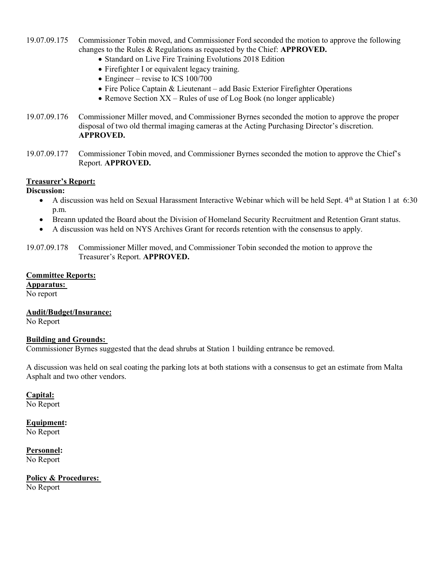- 19.07.09.175 Commissioner Tobin moved, and Commissioner Ford seconded the motion to approve the following changes to the Rules & Regulations as requested by the Chief: APPROVED.
	- Standard on Live Fire Training Evolutions 2018 Edition
	- Firefighter I or equivalent legacy training.
	- Engineer revise to ICS 100/700
	- Fire Police Captain & Lieutenant add Basic Exterior Firefighter Operations
	- Remove Section  $XX$  Rules of use of Log Book (no longer applicable)
- 19.07.09.176 Commissioner Miller moved, and Commissioner Byrnes seconded the motion to approve the proper disposal of two old thermal imaging cameras at the Acting Purchasing Director's discretion. APPROVED.
- 19.07.09.177 Commissioner Tobin moved, and Commissioner Byrnes seconded the motion to approve the Chief's Report. APPROVED.

# Treasurer's Report:

Discussion:

- A discussion was held on Sexual Harassment Interactive Webinar which will be held Sept. 4<sup>th</sup> at Station 1 at 6:30 p.m.
- Breann updated the Board about the Division of Homeland Security Recruitment and Retention Grant status.
- A discussion was held on NYS Archives Grant for records retention with the consensus to apply.
- 19.07.09.178 Commissioner Miller moved, and Commissioner Tobin seconded the motion to approve the Treasurer's Report. APPROVED.

### Committee Reports:

Apparatus:

No report

# Audit/Budget/Insurance:

No Report

### Building and Grounds:

Commissioner Byrnes suggested that the dead shrubs at Station 1 building entrance be removed.

A discussion was held on seal coating the parking lots at both stations with a consensus to get an estimate from Malta Asphalt and two other vendors.

### Capital:

No Report

# Equipment:

No Report

#### Personnel: No Report

Policy & Procedures: No Report